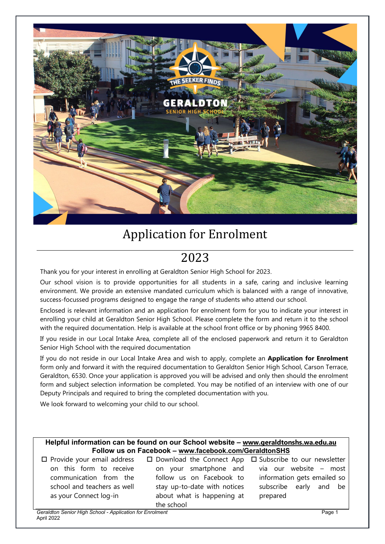

# Application for Enrolment

# 2023

Thank you for your interest in enrolling at Geraldton Senior High School for 2023.

Our school vision is to provide opportunities for all students in a safe, caring and inclusive learning environment. We provide an extensive mandated curriculum which is balanced with a range of innovative, success-focussed programs designed to engage the range of students who attend our school.

Enclosed is relevant information and an application for enrolment form for you to indicate your interest in enrolling your child at Geraldton Senior High School. Please complete the form and return it to the school with the required documentation. Help is available at the school front office or by phoning 9965 8400.

If you reside in our Local Intake Area, complete all of the enclosed paperwork and return it to Geraldton Senior High School with the required documentation

If you do not reside in our Local Intake Area and wish to apply, complete an **Application for Enrolment** form only and forward it with the required documentation to Geraldton Senior High School, Carson Terrace, Geraldton, 6530. Once your application is approved you will be advised and only then should the enrolment form and subject selection information be completed. You may be notified of an interview with one of our Deputy Principals and required to bring the completed documentation with you.

We look forward to welcoming your child to our school.

# **Helpful information can be found on our School website – [www.geraldtonshs.wa.edu.au](http://www.geraldtonshs.wa.edu.au/) Follow us on Facebook – www.facebook.com/GeraldtonSHS**

| $\Box$ Provide your email address | $\Box$ Download the Connect App $\Box$ Subscribe to our newsletter |                             |
|-----------------------------------|--------------------------------------------------------------------|-----------------------------|
| on this form to receive           | on your smartphone and                                             | via our website – most      |
| communication from the            | follow us on Facebook to                                           | information gets emailed so |
| school and teachers as well       | stay up-to-date with notices                                       | subscribe early and be      |
| as your Connect log-in            | about what is happening at                                         | prepared                    |
|                                   | the school                                                         |                             |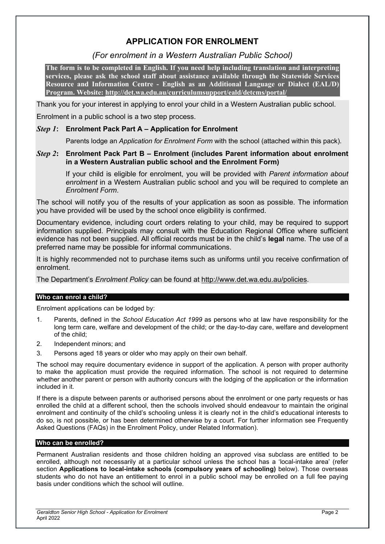# **APPLICATION FOR ENROLMENT**

# *(For enrolment in a Western Australian Public School)*

**The form is to be completed in English. If you need help including translation and interpreting services, please ask the school staff about assistance available through the Statewide Services Resource and Information Centre - English as an Additional Language or Dialect (EAL/D) Program. Website:<http://det.wa.edu.au/curriculumsupport/eald/detcms/portal/>**

Thank you for your interest in applying to enrol your child in a Western Australian public school.

Enrolment in a public school is a two step process.

# *Step 1***: Enrolment Pack Part A – Application for Enrolment**

Parents lodge an *Application for Enrolment Form* with the school (attached within this pack).

# *Step 2***: Enrolment Pack Part B – Enrolment (includes Parent information about enrolment in a Western Australian public school and the Enrolment Form)**

If your child is eligible for enrolment, you will be provided with *Parent information about enrolment* in a Western Australian public school and you will be required to complete an *Enrolment Form*.

The school will notify you of the results of your application as soon as possible. The information you have provided will be used by the school once eligibility is confirmed.

Documentary evidence, including court orders relating to your child, may be required to support information supplied. Principals may consult with the Education Regional Office where sufficient evidence has not been supplied. All official records must be in the child's **legal** name. The use of a preferred name may be possible for informal communications.

It is highly recommended not to purchase items such as uniforms until you receive confirmation of enrolment.

The Department's *Enrolment Policy* can be found at [http://www.det.wa.edu.au/policies.](http://www.det.wa.edu.au/policies)

# **Who can enrol a child?**

Enrolment applications can be lodged by:

- 1. Parents, defined in the *School Education Act 1999* as persons who at law have responsibility for the long term care, welfare and development of the child; or the day-to-day care, welfare and development of the child;
- 2. Independent minors; and
- 3. Persons aged 18 years or older who may apply on their own behalf.

The school may require documentary evidence in support of the application. A person with proper authority to make the application must provide the required information. The school is not required to determine whether another parent or person with authority concurs with the lodging of the application or the information included in it.

If there is a dispute between parents or authorised persons about the enrolment or one party requests or has enrolled the child at a different school, then the schools involved should endeavour to maintain the original enrolment and continuity of the child's schooling unless it is clearly not in the child's educational interests to do so, is not possible, or has been determined otherwise by a court. For further information see Frequently Asked Questions (FAQs) in the Enrolment Policy, under Related Information).

# **Who can be enrolled?**

Permanent Australian residents and those children holding an approved visa subclass are entitled to be enrolled, although not necessarily at a particular school unless the school has a 'local-intake area' (refer section **Applications to local-intake schools (compulsory years of schooling)** below). Those overseas students who do not have an entitlement to enrol in a public school may be enrolled on a full fee paying basis under conditions which the school will outline.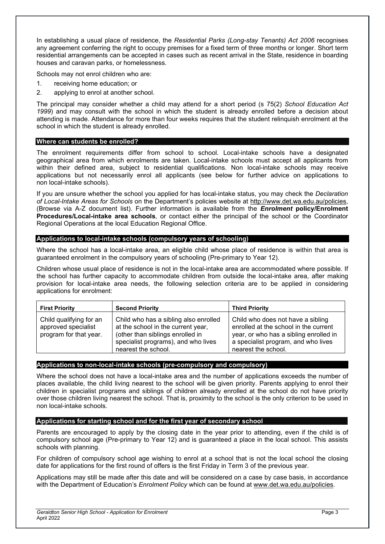In establishing a usual place of residence, the *Residential Parks (Long-stay Tenants) Act 2006* recognises any agreement conferring the right to occupy premises for a fixed term of three months or longer. Short term residential arrangements can be accepted in cases such as recent arrival in the State, residence in boarding houses and caravan parks, or homelessness.

Schools may not enrol children who are:

- 1. receiving home education; or
- 2. applying to enrol at another school.

The principal may consider whether a child may attend for a short period (s 75(2) *School Education Act 1999*) and may consult with the school in which the student is already enrolled before a decision about attending is made. Attendance for more than four weeks requires that the student relinquish enrolment at the school in which the student is already enrolled.

## **Where can students be enrolled?**

The enrolment requirements differ from school to school. Local-intake schools have a designated geographical area from which enrolments are taken. Local-intake schools must accept all applicants from within their defined area, subject to residential qualifications. Non local-intake schools may receive applications but not necessarily enrol all applicants (see below for further advice on applications to non local-intake schools).

If you are unsure whether the school you applied for has local-intake status, you may check the *Declaration of Local-Intake Areas for Schools* on the Department's policies website at [http://www.det.wa.edu.au/policies,](http://www.det.wa.edu.au/policies) (Browse via A-Z document list). Further information is available from the *Enrolment* **policy/Enrolment Procedures/Local-intake area schools**, or contact either the principal of the school or the Coordinator Regional Operations at the local Education Regional Office.

## **Applications to local-intake schools (compulsory years of schooling)**

Where the school has a local-intake area, an eligible child whose place of residence is within that area is guaranteed enrolment in the compulsory years of schooling (Pre-primary to Year 12).

Children whose usual place of residence is not in the local-intake area are accommodated where possible. If the school has further capacity to accommodate children from outside the local-intake area, after making provision for local-intake area needs, the following selection criteria are to be applied in considering applications for enrolment:

| <b>First Priority</b>                                                    | <b>Second Priority</b>                                                                                                                                                        | <b>Third Priority</b>                                                                                                                                                              |
|--------------------------------------------------------------------------|-------------------------------------------------------------------------------------------------------------------------------------------------------------------------------|------------------------------------------------------------------------------------------------------------------------------------------------------------------------------------|
| Child qualifying for an<br>approved specialist<br>program for that year. | Child who has a sibling also enrolled<br>at the school in the current year,<br>(other than siblings enrolled in<br>specialist programs), and who lives<br>nearest the school. | Child who does not have a sibling<br>enrolled at the school in the current<br>year, or who has a sibling enrolled in<br>a specialist program, and who lives<br>nearest the school. |

# **Applications to non-local-intake schools (pre-compulsory and compulsory)**

Where the school does not have a local-intake area and the number of applications exceeds the number of places available, the child living nearest to the school will be given priority. Parents applying to enrol their children in specialist programs and siblings of children already enrolled at the school do not have priority over those children living nearest the school. That is, proximity to the school is the only criterion to be used in non local-intake schools.

# **Applications for starting school and for the first year of secondary school**

Parents are encouraged to apply by the closing date in the year prior to attending, even if the child is of compulsory school age (Pre-primary to Year 12) and is guaranteed a place in the local school. This assists schools with planning.

For children of compulsory school age wishing to enrol at a school that is not the local school the closing date for applications for the first round of offers is the first Friday in Term 3 of the previous year.

Applications may still be made after this date and will be considered on a case by case basis, in accordance with the Department of Education's *Enrolment Policy* which can be found at [www.det.wa.edu.au/policies.](http://www.det.wa.edu.au/policies)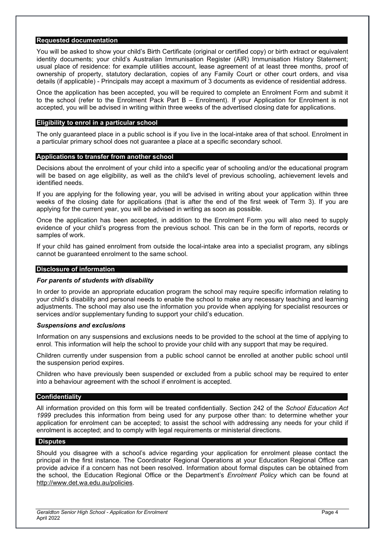## **Requested documentation**

You will be asked to show your child's Birth Certificate (original or certified copy) or birth extract or equivalent identity documents; your child's Australian Immunisation Register (AIR) Immunisation History Statement; usual place of residence: for example utilities account, lease agreement of at least three months, proof of ownership of property, statutory declaration, copies of any Family Court or other court orders, and visa details (if applicable) - Principals may accept a maximum of 3 documents as evidence of residential address.

Once the application has been accepted, you will be required to complete an Enrolment Form and submit it to the school (refer to the Enrolment Pack Part B – Enrolment). If your Application for Enrolment is not accepted, you will be advised in writing within three weeks of the advertised closing date for applications.

#### **Eligibility to enrol in a particular school**

The only guaranteed place in a public school is if you live in the local-intake area of that school. Enrolment in a particular primary school does not guarantee a place at a specific secondary school.

#### **Applications to transfer from another school**

Decisions about the enrolment of your child into a specific year of schooling and/or the educational program will be based on age eligibility, as well as the child's level of previous schooling, achievement levels and identified needs.

If you are applying for the following year, you will be advised in writing about your application within three weeks of the closing date for applications (that is after the end of the first week of Term 3). If you are applying for the current year, you will be advised in writing as soon as possible.

Once the application has been accepted, in addition to the Enrolment Form you will also need to supply evidence of your child's progress from the previous school. This can be in the form of reports, records or samples of work.

If your child has gained enrolment from outside the local-intake area into a specialist program, any siblings cannot be guaranteed enrolment to the same school.

#### **Disclosure of information**

#### *For parents of students with disability*

In order to provide an appropriate education program the school may require specific information relating to your child's disability and personal needs to enable the school to make any necessary teaching and learning adjustments. The school may also use the information you provide when applying for specialist resources or services and/or supplementary funding to support your child's education.

#### *Suspensions and exclusions*

Information on any suspensions and exclusions needs to be provided to the school at the time of applying to enrol. This information will help the school to provide your child with any support that may be required.

Children currently under suspension from a public school cannot be enrolled at another public school until the suspension period expires.

Children who have previously been suspended or excluded from a public school may be required to enter into a behaviour agreement with the school if enrolment is accepted.

#### **Confidentiality**

All information provided on this form will be treated confidentially. Section 242 of the *School Education Act 1999* precludes this information from being used for any purpose other than: to determine whether your application for enrolment can be accepted; to assist the school with addressing any needs for your child if enrolment is accepted; and to comply with legal requirements or ministerial directions.

#### **Disputes**

Should you disagree with a school's advice regarding your application for enrolment please contact the principal in the first instance. The Coordinator Regional Operations at your Education Regional Office can provide advice if a concern has not been resolved. Information about formal disputes can be obtained from the school, the Education Regional Office or the Department's *Enrolment Policy* which can be found at [http://www.det.wa.edu.au/policies.](http://www.det.wa.edu.au/policies)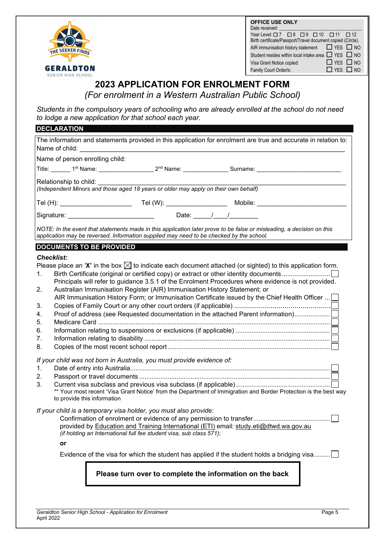

| <b>OFFICE USE ONLY</b>                                             |
|--------------------------------------------------------------------|
| Date received:                                                     |
| Yearlevel $\Box$ 7 $\Box$ 8 $\Box$ 9 $\Box$ 10 $\Box$ 11 $\Box$ 12 |
| Birth certificate/Passport/Travel document copied (Circle).        |
| $\Box$ YES $\Box$ NO<br>AIR immunisation history statement         |
| Student resides within local intake area $\Box$ YES $\Box$ NO      |
| $\Box$ YFS $\Box$ NO<br>Visa Grant Notice copied:                  |
| $\Box$ YES $\Box$ NO<br>Family Court Order/s:                      |

# **2023 APPLICATION FOR ENROLMENT FORM**

*(For enrolment in a Western Australian Public School)*

*Students in the compulsory years of schooling who are already enrolled at the school do not need to lodge a new application for that school each year.*

| <b>DECLARATION</b>                                                                                                                                                                                                                                                                                                                                                                                                                                                                                                                                                                                                                                                                                                                                                                            |  |  |  |  |  |  |  |
|-----------------------------------------------------------------------------------------------------------------------------------------------------------------------------------------------------------------------------------------------------------------------------------------------------------------------------------------------------------------------------------------------------------------------------------------------------------------------------------------------------------------------------------------------------------------------------------------------------------------------------------------------------------------------------------------------------------------------------------------------------------------------------------------------|--|--|--|--|--|--|--|
| The information and statements provided in this application for enrolment are true and accurate in relation to:<br>Name of child:                                                                                                                                                                                                                                                                                                                                                                                                                                                                                                                                                                                                                                                             |  |  |  |  |  |  |  |
| Name of person enrolling child:                                                                                                                                                                                                                                                                                                                                                                                                                                                                                                                                                                                                                                                                                                                                                               |  |  |  |  |  |  |  |
| Title: 1 <sup>st</sup> Name: 1000 name: 2 <sup>nd</sup> Name: 2000 Name: 2000 Name: 2000 Nurname: 2000 Nurname: 2000 Nurname: 2000 Nurname: 2000 Nurname: 2000 Nurname: 2000 Nurname: 2000 Nurname: 2000 Nurname: 2000 Nurname: 2000 Nurname: 2000                                                                                                                                                                                                                                                                                                                                                                                                                                                                                                                                            |  |  |  |  |  |  |  |
| Relationship to child:<br>(Independent Minors and those aged 18 years or older may apply on their own behalf)                                                                                                                                                                                                                                                                                                                                                                                                                                                                                                                                                                                                                                                                                 |  |  |  |  |  |  |  |
| Tel (H): ________________________  Tel (W): __________________  Mobile: __________                                                                                                                                                                                                                                                                                                                                                                                                                                                                                                                                                                                                                                                                                                            |  |  |  |  |  |  |  |
|                                                                                                                                                                                                                                                                                                                                                                                                                                                                                                                                                                                                                                                                                                                                                                                               |  |  |  |  |  |  |  |
| NOTE: In the event that statements made in this application later prove to be false or misleading, a decision on this<br>application may be reversed. Information supplied may need to be checked by the school.                                                                                                                                                                                                                                                                                                                                                                                                                                                                                                                                                                              |  |  |  |  |  |  |  |
| <b>DOCUMENTS TO BE PROVIDED</b>                                                                                                                                                                                                                                                                                                                                                                                                                                                                                                                                                                                                                                                                                                                                                               |  |  |  |  |  |  |  |
| <b>Checklist:</b>                                                                                                                                                                                                                                                                                                                                                                                                                                                                                                                                                                                                                                                                                                                                                                             |  |  |  |  |  |  |  |
| Please place an 'X' in the box $\boxtimes$ to indicate each document attached (or sighted) to this application form.<br>1.<br>Principals will refer to guidance 3.5.1 of the Enrolment Procedures where evidence is not provided.<br>Australian Immunisation Register (AIR) Immunisation History Statement; or<br>2.<br>AIR Immunisation History Form; or Immunisation Certificate issued by the Chief Health Officer<br>3.<br>Proof of address (see Requested documentation in the attached Parent information)<br>4.<br>5.<br>6.<br>7.<br>8.<br>If your child was not born in Australia, you must provide evidence of:<br>1.<br>2.<br>3.<br>** Your most recent 'Visa Grant Notice' from the Department of Immigration and Border Protection is the best way<br>to provide this information |  |  |  |  |  |  |  |
| If your child is a temporary visa holder, you must also provide:<br>provided by Education and Training International (ETI) email: study.eti@dtwd.wa.gov.au<br>(if holding an International full fee student visa, sub class 571);<br>or<br>Evidence of the visa for which the student has applied if the student holds a bridging visa                                                                                                                                                                                                                                                                                                                                                                                                                                                        |  |  |  |  |  |  |  |
| Please turn over to complete the information on the back                                                                                                                                                                                                                                                                                                                                                                                                                                                                                                                                                                                                                                                                                                                                      |  |  |  |  |  |  |  |